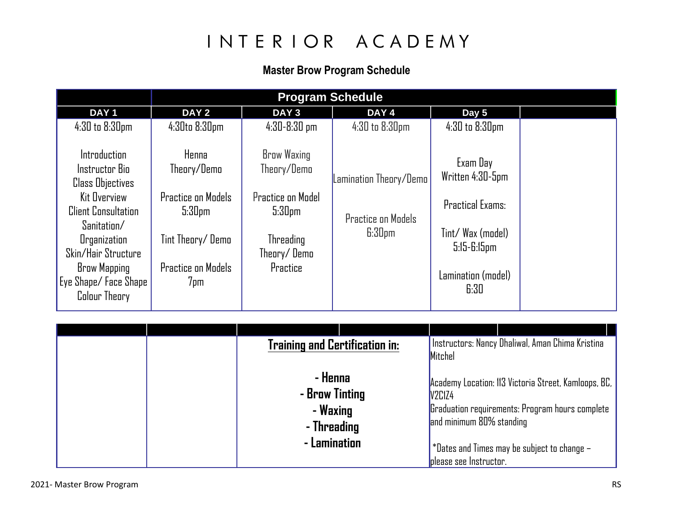# INTERIOR ACADEMY

### **Master Brow Program Schedule**

| <b>Program Schedule</b>                                                                                                                                                                                                                            |                                                                                                                                 |                                                                                                                             |                                                                           |                                                                                                                                |  |  |  |  |
|----------------------------------------------------------------------------------------------------------------------------------------------------------------------------------------------------------------------------------------------------|---------------------------------------------------------------------------------------------------------------------------------|-----------------------------------------------------------------------------------------------------------------------------|---------------------------------------------------------------------------|--------------------------------------------------------------------------------------------------------------------------------|--|--|--|--|
| DAY <sub>1</sub>                                                                                                                                                                                                                                   | DAY <sub>2</sub>                                                                                                                | DAY <sub>3</sub>                                                                                                            | DAY 4                                                                     | Day 5                                                                                                                          |  |  |  |  |
| 4:30 to 8:30pm                                                                                                                                                                                                                                     | $4:30$ to $8:30$ pm                                                                                                             | $4:30 - 8:30$ pm                                                                                                            | 4:30 to 8:30pm                                                            | 4:30 to 8:30pm                                                                                                                 |  |  |  |  |
| <b>Introduction</b><br>Instructor Bio<br><b>Class Objectives</b><br>Kit Overview<br><b>Client Consultation</b><br>Sanitation/<br><b>Organization</b><br>Skin/Hair Structure<br><b>Brow Mapping</b><br>Eye Shape/Face Shape<br><b>Colour Theory</b> | Henna<br>Theory/Demo<br><b>Practice on Models</b><br>5:30 <sub>pm</sub><br>Tint Theory/Demo<br><b>Practice on Models</b><br>7pm | <b>Brow Waxing</b><br>Theory/Demo<br><b>Practice on Model</b><br>5:30 <sub>pm</sub><br>Threading<br>Theory/Demo<br>Practice | Lamination Theory/Demo<br><b>Practice on Models</b><br>6:30 <sub>pm</sub> | Exam Day<br>Written 4:30-5pm<br><b>Practical Exams:</b><br>Tint/ Wax (model)<br>$5:15 - 6:15$ pm<br>Lamination (model)<br>6:30 |  |  |  |  |

| <b>Training and Certification in:</b>                                |  | Mitchel                                                      | Instructors: Nancy Dhaliwal, Aman Chima Kristina                                                                                                       |
|----------------------------------------------------------------------|--|--------------------------------------------------------------|--------------------------------------------------------------------------------------------------------------------------------------------------------|
| - Henna<br>- Brow Tinting<br>- Waxing<br>- Threading<br>- Lamination |  | V2C1Z4<br>and minimum 80% standing<br>please see Instructor. | Academy Location: 113 Victoria Street, Kamloops, BC,<br>Graduation requirements: Program hours complete<br>*Dates and Times may be subject to change - |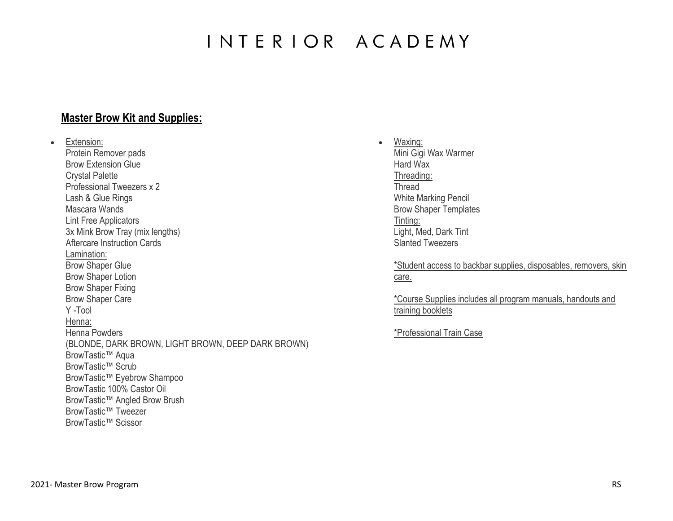## INTERIOR ACADEMY

#### **Master Brow Kit and Supplies:**

• Extension: Protein Remover pads Brow Extension Glue Crystal Palette Professional Tweezers x 2 Lash & Glue Rings Mascara Wands Lint Free Applicators 3x Mink Brow Tray (mix lengths) Aftercare Instruction Cards Lamination: Brow Shaper Glue Brow Shaper Lotion Brow Shaper Fixing Brow Shaper Care Y -Tool Henna: Henna Powders (BLONDE, DARK BROWN, LIGHT BROWN, DEEP DARK BROWN) BrowTastic™ Aqua BrowTastic™ Scrub BrowTastic™ Eyebrow Shampoo BrowTastic 100% Castor Oil BrowTastic™ Angled Brow Brush BrowTastic™ Tweezer BrowTastic™ Scissor

• Waxing: Mini Gigi Wax Warmer Hard Wax Threading: **Thread** White Marking Pencil Brow Shaper Templates Tinting: Light, Med, Dark Tint Slanted Tweezers

> \*Student access to backbar supplies, disposables, removers, skin care.

\*Course Supplies includes all program manuals, handouts and training booklets

\*Professional Train Case